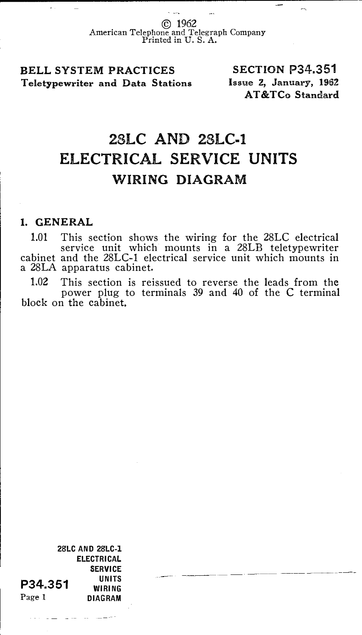© 1962 American Telephone and Telegraph Company Printed in U. S. A.

## BELL SYSTEM PRACTICES Teletypewriter and Data Stations

SECTION P34.351 Issue 2, January, 1962 AT &TCo Standard

## 28LC AND 28LC-1 ELECTRICAL SERVICE UNITS WIRING DIAGRAM

## 1. GENERAL

1.01 This section shows the wiring for the 28LC electrical service unit which mounts in a 28LB teletypewriter cabinet and the 28LC-1 electrical service unit which mounts in a 28LA apparatus cabinet.

1.02 This section is reissued to reverse the leads from the power plug to terminals 39 and 40 of the C terminal block on the cabinet.

28LC AND 28LC-l ELECTRICAL SERVICE UNITS WIRING DIAGRAM P34.351 Page 1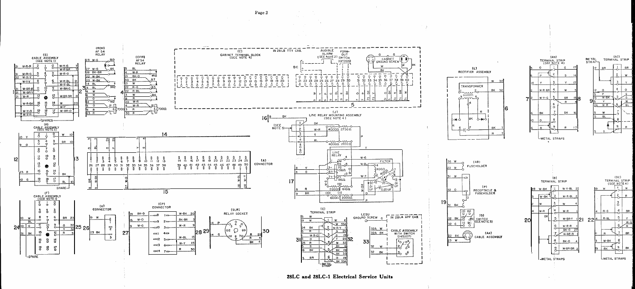



 $(AC)$ 

 $\overline{w}$ 

 $\overline{B}$ 

(DC)<br>TERMINAL STRIP<br>(SEE NOTE 4)

 $\mathbf{r}$ 

LMETAL STRAPS

 $\frac{W-G}{R}$ 

TERMINAL STRIP

METAL<br>STRAP-

 $P$ 

 $\overline{Y}$ 

 $\overline{R}$  W · R

 $B<sub>L</sub>$ 

 $W-BK$ 

 $(AN)$ 

(SEE NOTE 4)

TERMINAL STRIP

w.v.

LMETAL STRAPS

(B)

 $W - Y - BI$  2

 $W - P$ 

 $W-R-R$ 

 $\frac{1}{\text{BK} \cdot \text{O}}$  27

 $W-BR-R$ 

BK-0

W-BR-BR

 $W-BR-Y$  | 2

22

TERMINAL STRIP

-METAL STRAPS

W-RK

20

 $\overline{\phantom{a}}$ 

Page 2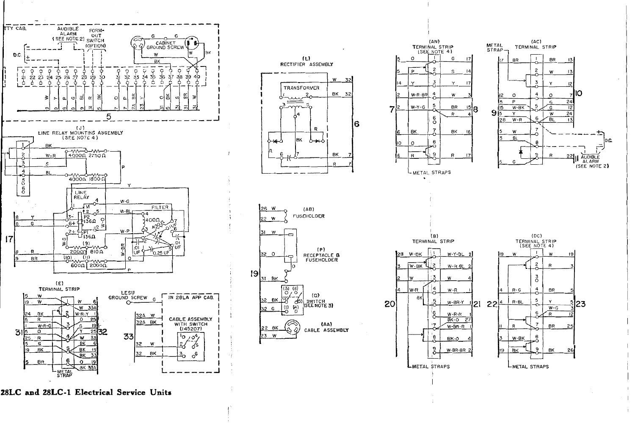



 $\overline{3}$ 



 $(AC)$ 

TERMINAL STRIP

28LC and 28LC-1 Electrical Service Units